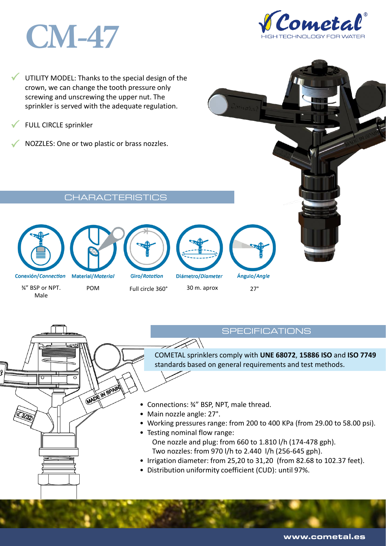# **CM-47**



 $\checkmark$ UTILITY MODEL: Thanks to the special design of the crown, we can change the tooth pressure only screwing and unscrewing the upper nut. The sprinkler is served with the adequate regulation.

 $\checkmark$ FULL CIRCLE sprinkler

 $\checkmark$ NOZZLES: One or two plastic or brass nozzles.

Characteristics in the characteristics of the characteristics of the characteristics of the characteristics of







**MADE IN SPAIN** 

**Giro/Rotation** 

Diámetro/Diameter

Ángulo/Angle

¾" BSP or NPT. Male

POM Full circle 360° 30 m. aprox 27°

**SPECIFICATIONS** 

COMETAL sprinklers comply with **UNE 68072**, **15886 ISO** and **ISO 7749**  standards based on general requirements and test methods.

- Connections: ¾" BSP, NPT, male thread.
- Main nozzle angle: 27°.
- Working pressures range: from 200 to 400 KPa (from 29.00 to 58.00 psi).
- Testing nominal flow range: One nozzle and plug: from 660 to 1.810 l/h (174-478 gph). Two nozzles: from 970 l/h to 2.440 l/h (256-645 gph).
- Irrigation diameter: from 25,20 to 31,20 (from 82.68 to 102.37 feet).
- Distribution uniformity coefficient (CUD): until 97%.

www.cometal.es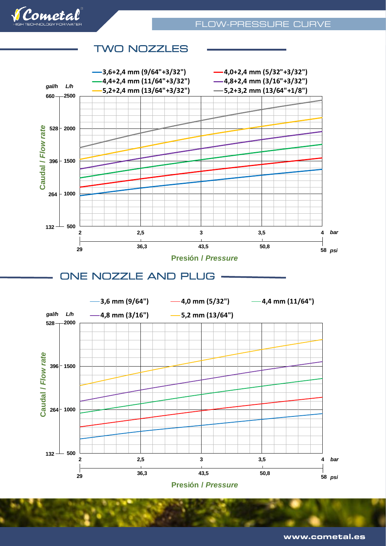

# TWO NOZZLES EST EST ELECTRICITY CONTROL